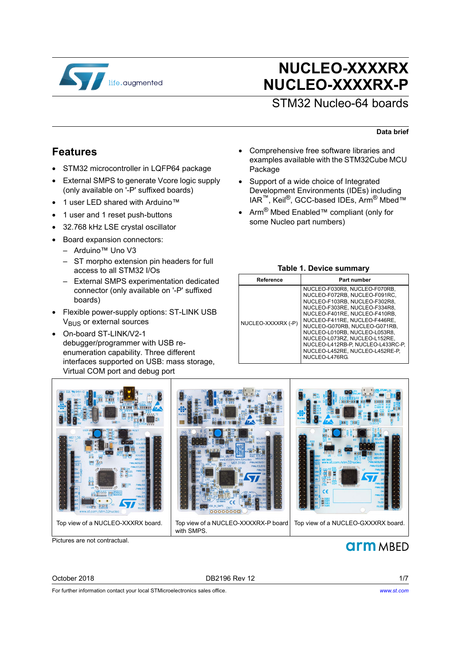

# **NUCLEO-XXXXRX NUCLEO-XXXXRX-P**

## STM32 Nucleo-64 boards

#### **Data brief**

#### **Features**

- STM32 microcontroller in LQFP64 package
- External SMPS to generate Vcore logic supply (only available on '-P' suffixed boards)
- 1 user LED shared with Arduino™
- 1 user and 1 reset push-buttons
- 32.768 kHz LSE crystal oscillator
- Board expansion connectors:
	- Arduino™ Uno V3
	- ST morpho extension pin headers for full access to all STM32 I/Os
	- External SMPS experimentation dedicated connector (only available on '-P' suffixed boards)
- Flexible power-supply options: ST-LINK USB  $V_{BUS}$  or external sources
- On-board ST-LINK/V2-1 debugger/programmer with USB reenumeration capability. Three different interfaces supported on USB: mass storage, Virtual COM port and debug port
- Comprehensive free software libraries and examples available with the STM32Cube MCU Package
- Support of a wide choice of Integrated Development Environments (IDEs) including IAR™, Keil®, GCC-based IDEs, Arm® Mbed™
- Arm® Mbed Enabled™ compliant (only for some Nucleo part numbers)

#### **Table 1. Device summary**

<span id="page-0-0"></span>

| <b>Reference</b>   | Part number                                                                                                                                                                                                                                                                                                                                                                                     |
|--------------------|-------------------------------------------------------------------------------------------------------------------------------------------------------------------------------------------------------------------------------------------------------------------------------------------------------------------------------------------------------------------------------------------------|
| NUCLEO-XXXXRX (-P) | NUCLEO-F030R8, NUCLEO-F070RB,<br>NUCLEO-F072RB, NUCLEO-F091RC.<br>NUCLEO-F103RB, NUCLEO-F302R8,<br>NUCLEO-F303RE, NUCLEO-F334R8,<br>NUCLEO-F401RE, NUCLEO-F410RB,<br>NUCLEO-F411RE, NUCLEO-F446RE,<br>NUCLEO-G070RB, NUCLEO-G071RB,<br>NUCLEO-L010RB, NUCLEO-L053R8.<br>NUCLEO-L073RZ, NUCLEO-L152RE,<br>NUCLEO-L412RB-P, NUCLEO-L433RC-P,<br>NUCLEO-L452RE, NUCLEO-L452RE-P,<br>NUCLEO-L476RG. |



Pictures are not contractual.

October 2018 **DB2196 Rev 12** 1/7

**arm** MBFD

For further information contact your local STMicroelectronics sales office.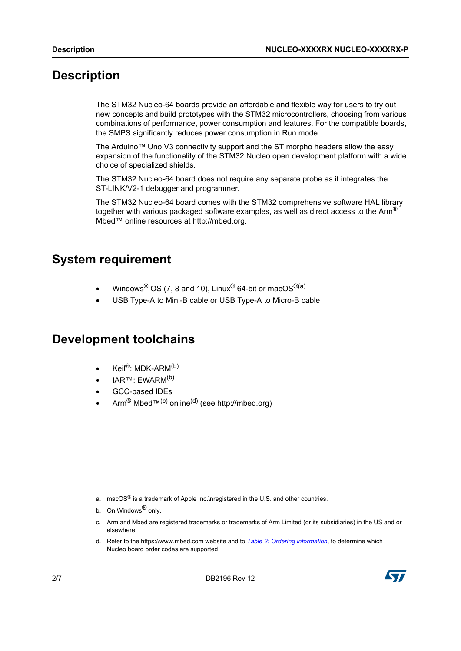## **Description**

The STM32 Nucleo-64 boards provide an affordable and flexible way for users to try out new concepts and build prototypes with the STM32 microcontrollers, choosing from various combinations of performance, power consumption and features. For the compatible boards, the SMPS significantly reduces power consumption in Run mode.

The Arduino™ Uno V3 connectivity support and the ST morpho headers allow the easy expansion of the functionality of the STM32 Nucleo open development platform with a wide choice of specialized shields.

The STM32 Nucleo-64 board does not require any separate probe as it integrates the ST-LINK/V2-1 debugger and programmer.

The STM32 Nucleo-64 board comes with the STM32 comprehensive software HAL library together with various packaged software examples, as well as direct access to the Arm<sup>®</sup> Mbed™ online resources at http://mbed.org.

## **System requirement**

- Windows<sup>®</sup> OS (7, 8 and 10), Linux<sup>®</sup> 64-bit or macOS<sup>®(a)</sup>
- USB Type-A to Mini-B cable or USB Type-A to Micro-B cable

## **Development toolchains**

- $Keil^{\circledR}$ : MDK-ARM $^{(b)}$
- IAR™: EWARM<sup>(b)</sup>
- GCC-based IDEs
- $Arm^{\circledR}$  Mbed<sup>™(c)</sup> online<sup>(d)</sup> (see http://mbed.org)



a. mac $OS^{\circledR}$  is a trademark of Apple Inc.\nregistered in the U.S. and other countries.

<span id="page-1-0"></span>b. On Windows<sup>®</sup> only.

c. Arm and Mbed are registered trademarks or trademarks of Arm Limited (or its subsidiaries) in the US and or elsewhere.

d. Refer to the https://www.mbed.com website and to *[Table 2: Ordering information](#page-2-0)*, to determine which Nucleo board order codes are supported.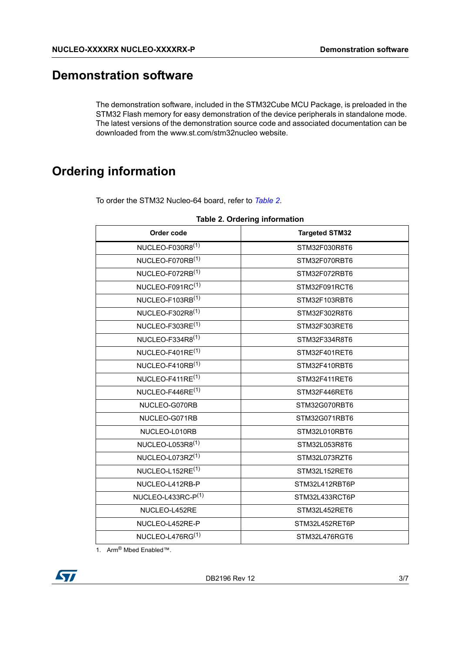## **Demonstration software**

The demonstration software, included in the STM32Cube MCU Package, is preloaded in the STM32 Flash memory for easy demonstration of the device peripherals in standalone mode. The latest versions of the demonstration source code and associated documentation can be downloaded from the www.st.com/stm32nucleo website.

## **Ordering information**

To order the STM32 Nucleo-64 board, refer to *[Table 2](#page-2-0)*.

<span id="page-2-0"></span>

| Order code                   | <b>Targeted STM32</b> |
|------------------------------|-----------------------|
| NUCLEO-F030R8 <sup>(1)</sup> | STM32F030R8T6         |
| NUCLEO-F070RB(1)             | STM32F070RBT6         |
| NUCLEO-F072RB(1)             | STM32F072RBT6         |
| NUCLEO-F091RC(1)             | STM32F091RCT6         |
| NUCLEO-F103RB(1)             | STM32F103RBT6         |
| NUCLEO-F302R8(1)             | STM32F302R8T6         |
| NUCLEO-F303RE <sup>(1)</sup> | STM32F303RET6         |
| NUCLEO-F334R8(1)             | STM32F334R8T6         |
| NUCLEO-F401RE(1)             | STM32F401RET6         |
| NUCLEO-F410RB <sup>(1)</sup> | STM32F410RBT6         |
| NUCLEO-F411RE <sup>(1)</sup> | STM32F411RET6         |
| NUCLEO-F446RE <sup>(1)</sup> | STM32F446RET6         |
| NUCLEO-G070RB                | STM32G070RBT6         |
| NUCLEO-G071RB                | STM32G071RBT6         |
| NUCLEO-L010RB                | STM32L010RBT6         |
| NUCLEO-L053R8(1)             | STM32L053R8T6         |
| NUCLEO-L073RZ(1)             | STM32L073RZT6         |
| NUCLEO-L152RE <sup>(1)</sup> | STM32L152RET6         |
| NUCLEO-L412RB-P              | STM32L412RBT6P        |
| NUCLEO-L433RC-P(1)           | STM32L433RCT6P        |
| NUCLEO-L452RE                | STM32L452RET6         |
| NUCLEO-L452RE-P              | STM32L452RET6P        |
| NUCLEO-L476RG(1)             | STM32L476RGT6         |

<span id="page-2-1"></span>1. Arm® Mbed Enabled™.

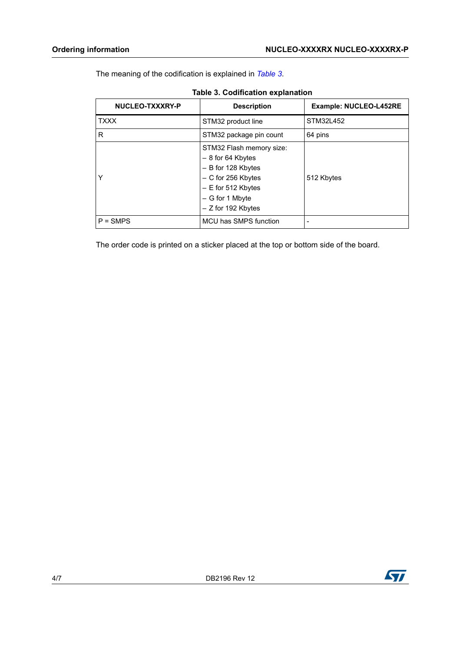The meaning of the codification is explained in *[Table 3](#page-3-0)*.

<span id="page-3-0"></span>

| NUCLEO-TXXXRY-P | <b>Description</b>                                                                                                                                         | <b>Example: NUCLEO-L452RE</b> |
|-----------------|------------------------------------------------------------------------------------------------------------------------------------------------------------|-------------------------------|
| <b>TXXX</b>     | STM32 product line                                                                                                                                         | STM32L452                     |
| R               | STM32 package pin count                                                                                                                                    | 64 pins                       |
| Υ               | STM32 Flash memory size:<br>- 8 for 64 Kbytes<br>- B for 128 Kbytes<br>- C for 256 Kbytes<br>$- E$ for 512 Kbytes<br>- G for 1 Mbyte<br>- Z for 192 Kbytes | 512 Kbytes                    |
| $P = SMPS$      | MCU has SMPS function                                                                                                                                      |                               |

The order code is printed on a sticker placed at the top or bottom side of the board.

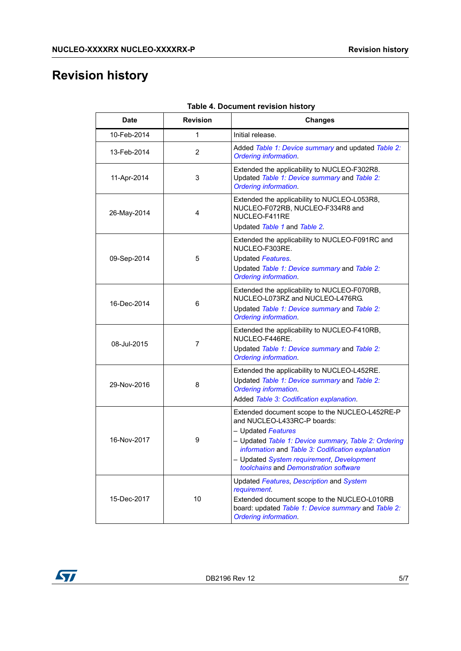# **Revision history**

| <b>Date</b> | <b>Revision</b> | <b>Changes</b>                                                                                                                                                                                                                                                                                                |
|-------------|-----------------|---------------------------------------------------------------------------------------------------------------------------------------------------------------------------------------------------------------------------------------------------------------------------------------------------------------|
| 10-Feb-2014 | 1               | Initial release.                                                                                                                                                                                                                                                                                              |
| 13-Feb-2014 | 2               | Added Table 1: Device summary and updated Table 2:<br><b>Ordering information.</b>                                                                                                                                                                                                                            |
| 11-Apr-2014 | 3               | Extended the applicability to NUCLEO-F302R8.<br>Updated Table 1: Device summary and Table 2:<br><b>Ordering information.</b>                                                                                                                                                                                  |
| 26-May-2014 | 4               | Extended the applicability to NUCLEO-L053R8,<br>NUCLEO-F072RB, NUCLEO-F334R8 and<br>NUCLEO-F411RE<br>Updated Table 1 and Table 2.                                                                                                                                                                             |
| 09-Sep-2014 | 5               | Extended the applicability to NUCLEO-F091RC and<br>NUCLEO-F303RE.<br>Updated Features.<br>Updated Table 1: Device summary and Table 2:<br><b>Ordering information.</b>                                                                                                                                        |
| 16-Dec-2014 | 6               | Extended the applicability to NUCLEO-F070RB,<br>NUCLEO-L073RZ and NUCLEO-L476RG.<br>Updated Table 1: Device summary and Table 2:<br><b>Ordering information.</b>                                                                                                                                              |
| 08-Jul-2015 | 7               | Extended the applicability to NUCLEO-F410RB,<br>NUCLEO-F446RE.<br>Updated Table 1: Device summary and Table 2:<br><b>Ordering information.</b>                                                                                                                                                                |
| 29-Nov-2016 | 8               | Extended the applicability to NUCLEO-L452RE.<br>Updated Table 1: Device summary and Table 2:<br><b>Ordering information.</b><br>Added Table 3: Codification explanation.                                                                                                                                      |
| 16-Nov-2017 | 9               | Extended document scope to the NUCLEO-L452RE-P<br>and NUCLEO-L433RC-P boards:<br>– Updated <i>Features</i><br>- Updated Table 1: Device summary, Table 2: Ordering<br>information and Table 3: Codification explanation<br>- Updated System requirement, Development<br>toolchains and Demonstration software |
| 15-Dec-2017 | 10              | Updated Features, Description and System<br>requirement.<br>Extended document scope to the NUCLEO-L010RB<br>board: updated Table 1: Device summary and Table 2:<br>Ordering information.                                                                                                                      |

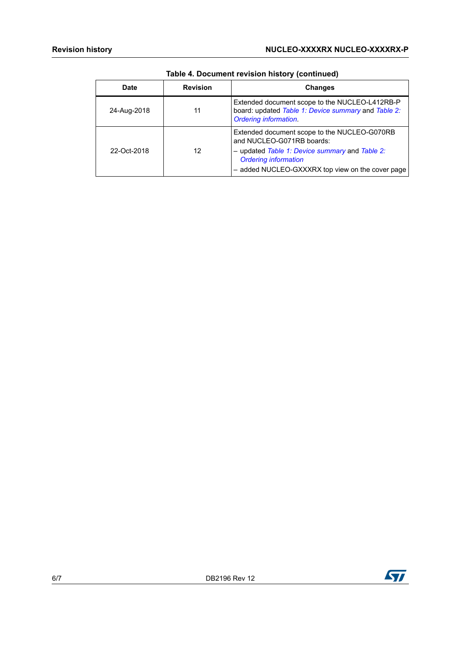| Date        | <b>Revision</b> | <b>Changes</b>                                                                                                                       |
|-------------|-----------------|--------------------------------------------------------------------------------------------------------------------------------------|
| 24-Aug-2018 | 11              | Extended document scope to the NUCLEO-L412RB-P<br>board: updated Table 1: Device summary and Table 2:<br><b>Ordering information</b> |
| 22-Oct-2018 | 12              | Extended document scope to the NUCLEO-G070RB<br>and NUCLEO-G071RB boards:                                                            |
|             |                 | - updated Table 1: Device summary and Table 2:<br><b>Ordering information</b><br>- added NUCLEO-GXXXRX top view on the cover page    |

#### **Table 4. Document revision history (continued)**